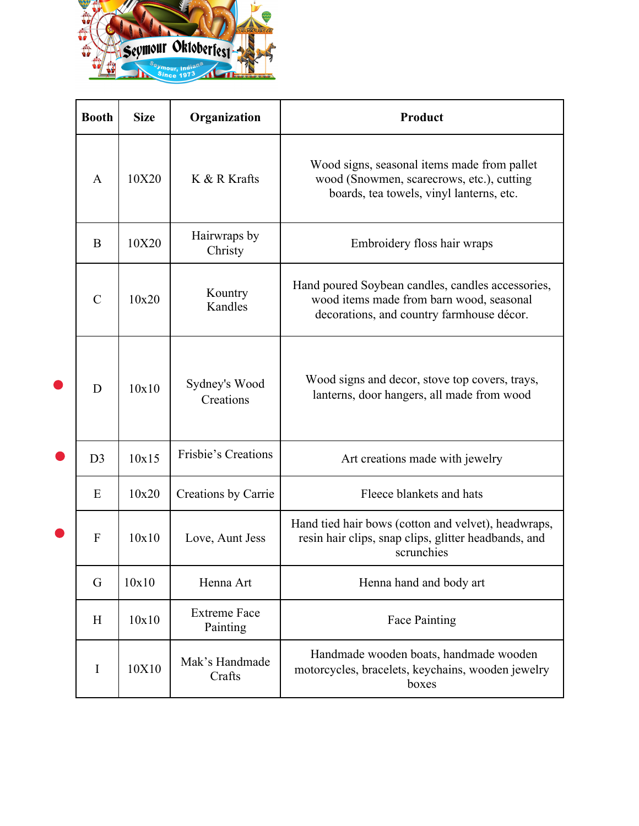

| <b>Booth</b>   | <b>Size</b> | Organization                    | <b>Product</b>                                                                                                                             |
|----------------|-------------|---------------------------------|--------------------------------------------------------------------------------------------------------------------------------------------|
| $\mathbf{A}$   | 10X20       | K & R Krafts                    | Wood signs, seasonal items made from pallet<br>wood (Snowmen, scarecrows, etc.), cutting<br>boards, tea towels, vinyl lanterns, etc.       |
| B              | 10X20       | Hairwraps by<br>Christy         | Embroidery floss hair wraps                                                                                                                |
| $\mathcal{C}$  | 10x20       | Kountry<br>Kandles              | Hand poured Soybean candles, candles accessories,<br>wood items made from barn wood, seasonal<br>decorations, and country farmhouse décor. |
| D              | 10x10       | Sydney's Wood<br>Creations      | Wood signs and decor, stove top covers, trays,<br>lanterns, door hangers, all made from wood                                               |
| D <sub>3</sub> | 10x15       | Frisbie's Creations             | Art creations made with jewelry                                                                                                            |
| E              | 10x20       | Creations by Carrie             | Fleece blankets and hats                                                                                                                   |
| F              | 10x10       | Love, Aunt Jess                 | Hand tied hair bows (cotton and velvet), headwraps,<br>resin hair clips, snap clips, glitter headbands, and<br>scrunchies                  |
| G              | 10x10       | Henna Art                       | Henna hand and body art                                                                                                                    |
| H              | 10x10       | <b>Extreme Face</b><br>Painting | Face Painting                                                                                                                              |
| I              | 10X10       | Mak's Handmade<br>Crafts        | Handmade wooden boats, handmade wooden<br>motorcycles, bracelets, keychains, wooden jewelry<br>boxes                                       |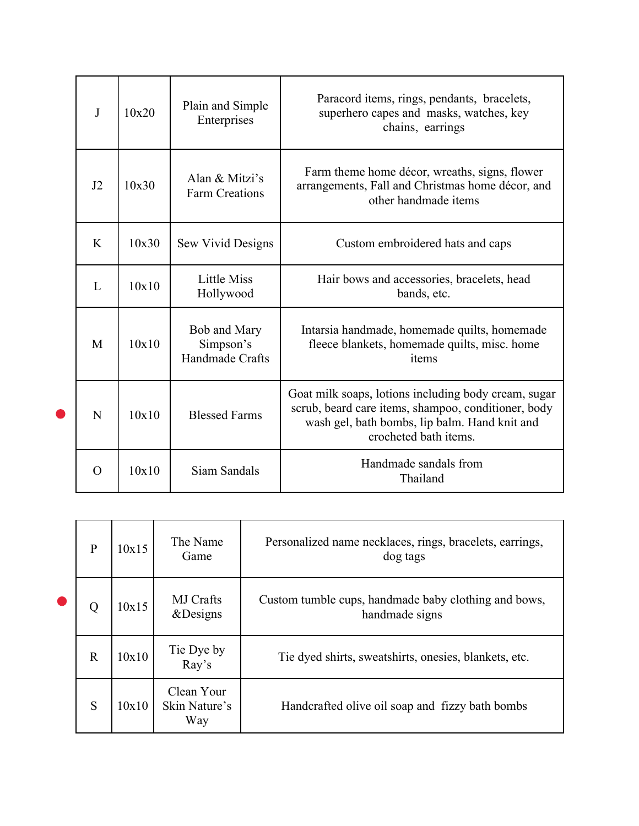| J        | 10x20 | Plain and Simple<br>Enterprises              | Paracord items, rings, pendants, bracelets,<br>superhero capes and masks, watches, key<br>chains, earrings                                                                            |
|----------|-------|----------------------------------------------|---------------------------------------------------------------------------------------------------------------------------------------------------------------------------------------|
| J2       | 10x30 | Alan & Mitzi's<br><b>Farm Creations</b>      | Farm theme home décor, wreaths, signs, flower<br>arrangements, Fall and Christmas home décor, and<br>other handmade items                                                             |
| K        | 10x30 | Sew Vivid Designs                            | Custom embroidered hats and caps                                                                                                                                                      |
| L        | 10x10 | <b>Little Miss</b><br>Hollywood              | Hair bows and accessories, bracelets, head<br>bands, etc.                                                                                                                             |
| M        | 10x10 | Bob and Mary<br>Simpson's<br>Handmade Crafts | Intarsia handmade, homemade quilts, homemade<br>fleece blankets, homemade quilts, misc. home<br>items                                                                                 |
| N        | 10x10 | <b>Blessed Farms</b>                         | Goat milk soaps, lotions including body cream, sugar<br>scrub, beard care items, shampoo, conditioner, body<br>wash gel, bath bombs, lip balm. Hand knit and<br>crocheted bath items. |
| $\Omega$ | 10x10 | Siam Sandals                                 | Handmade sandals from<br>Thailand                                                                                                                                                     |

| $\mathbf{P}$ | 10x15 | The Name<br>Game                   | Personalized name necklaces, rings, bracelets, earrings,<br>dog tags   |
|--------------|-------|------------------------------------|------------------------------------------------------------------------|
|              | 10x15 | <b>MJ</b> Crafts<br>&Designs       | Custom tumble cups, handmade baby clothing and bows,<br>handmade signs |
| $\mathbf R$  | 10x10 | Tie Dye by<br>Ray's                | Tie dyed shirts, sweatshirts, onesies, blankets, etc.                  |
| S            | 10x10 | Clean Your<br>Skin Nature's<br>Way | Handcrafted olive oil soap and fizzy bath bombs                        |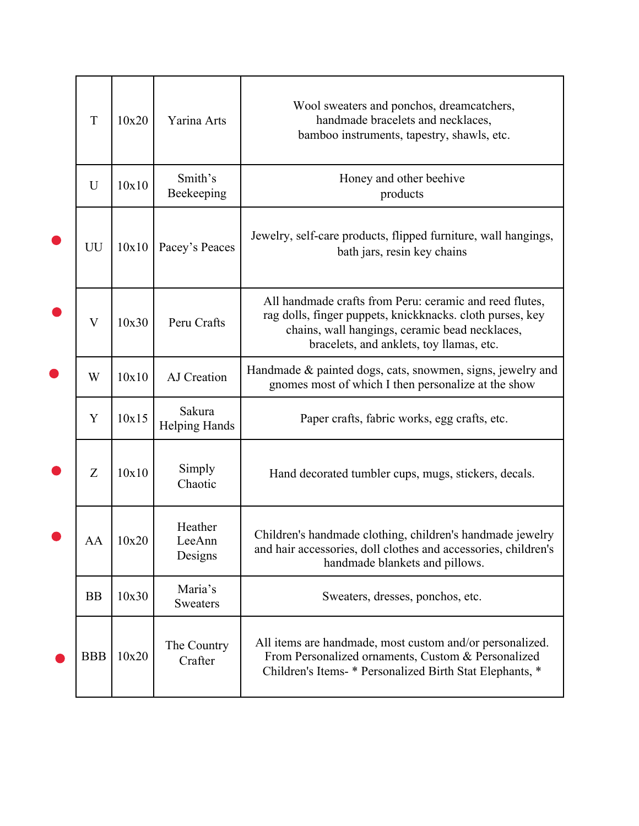|           | $\mathbf T$ | 10x20 | Yarina Arts                    | Wool sweaters and ponchos, dreamcatchers,<br>handmade bracelets and necklaces,<br>bamboo instruments, tapestry, shawls, etc.                                                                                       |
|-----------|-------------|-------|--------------------------------|--------------------------------------------------------------------------------------------------------------------------------------------------------------------------------------------------------------------|
|           | U           | 10x10 | Smith's<br>Beekeeping          | Honey and other beehive<br>products                                                                                                                                                                                |
|           | UU          | 10x10 | Pacey's Peaces                 | Jewelry, self-care products, flipped furniture, wall hangings,<br>bath jars, resin key chains                                                                                                                      |
|           | V           | 10x30 | Peru Crafts                    | All handmade crafts from Peru: ceramic and reed flutes,<br>rag dolls, finger puppets, knickknacks. cloth purses, key<br>chains, wall hangings, ceramic bead necklaces,<br>bracelets, and anklets, toy llamas, etc. |
| $\bullet$ | W           | 10x10 | AJ Creation                    | Handmade & painted dogs, cats, snowmen, signs, jewelry and<br>gnomes most of which I then personalize at the show                                                                                                  |
|           | $\mathbf Y$ | 10x15 | Sakura<br><b>Helping Hands</b> | Paper crafts, fabric works, egg crafts, etc.                                                                                                                                                                       |
|           | Z           | 10x10 | Simply<br>Chaotic              | Hand decorated tumbler cups, mugs, stickers, decals.                                                                                                                                                               |
|           | AA          | 10x20 | Heather<br>LeeAnn<br>Designs   | Children's handmade clothing, children's handmade jewelry<br>and hair accessories, doll clothes and accessories, children's<br>handmade blankets and pillows.                                                      |
|           | <b>BB</b>   | 10x30 | Maria's<br>Sweaters            | Sweaters, dresses, ponchos, etc.                                                                                                                                                                                   |
|           | <b>BBB</b>  | 10x20 | The Country<br>Crafter         | All items are handmade, most custom and/or personalized.<br>From Personalized ornaments, Custom & Personalized<br>Children's Items- * Personalized Birth Stat Elephants, *                                         |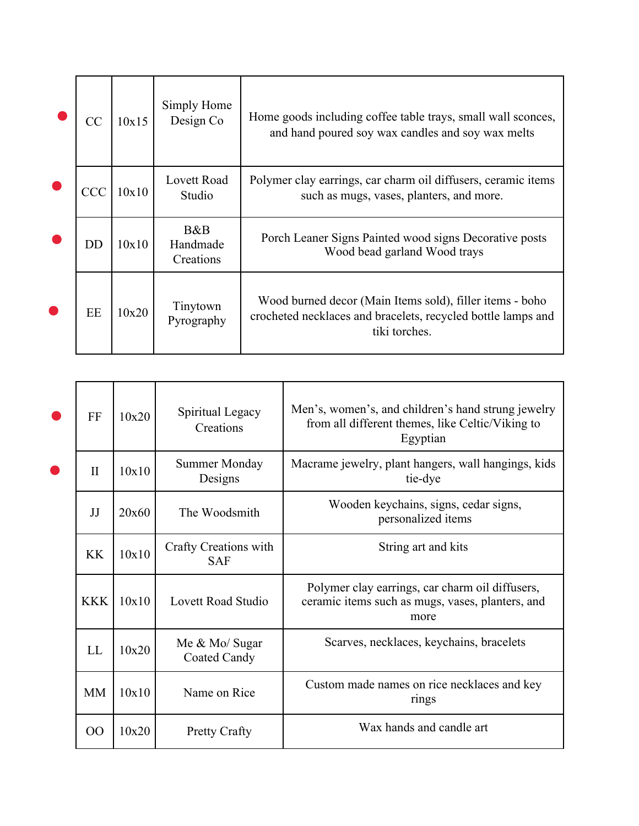| CC | 10x15 | Simply Home<br>Design Co     | Home goods including coffee table trays, small wall sconces,<br>and hand poured soy wax candles and soy wax melts                         |
|----|-------|------------------------------|-------------------------------------------------------------------------------------------------------------------------------------------|
|    | 10x10 | Lovett Road<br>Studio        | Polymer clay earrings, car charm oil diffusers, ceramic items<br>such as mugs, vases, planters, and more.                                 |
| DD | 10x10 | B&B<br>Handmade<br>Creations | Porch Leaner Signs Painted wood signs Decorative posts<br>Wood bead garland Wood trays                                                    |
| EE | 10x20 | Tinytown<br>Pyrography       | Wood burned decor (Main Items sold), filler items - boho<br>crocheted necklaces and bracelets, recycled bottle lamps and<br>tiki torches. |

| FF           | 10x20                                        | Spiritual Legacy<br>Creations   | Men's, women's, and children's hand strung jewelry<br>from all different themes, like Celtic/Viking to<br>Egyptian |
|--------------|----------------------------------------------|---------------------------------|--------------------------------------------------------------------------------------------------------------------|
| $\mathbf{I}$ | 10x10                                        | <b>Summer Monday</b><br>Designs | Macrame jewelry, plant hangers, wall hangings, kids<br>tie-dye                                                     |
| JJ           | 20x60                                        | The Woodsmith                   | Wooden keychains, signs, cedar signs,<br>personalized items                                                        |
| <b>KK</b>    | Crafty Creations with<br>10x10<br><b>SAF</b> |                                 | String art and kits                                                                                                |
| <b>KKK</b>   | 10x10                                        | Lovett Road Studio              | Polymer clay earrings, car charm oil diffusers,<br>ceramic items such as mugs, vases, planters, and<br>more        |
| LL           | 10x20                                        | Me & Mo/ Sugar<br>Coated Candy  | Scarves, necklaces, keychains, bracelets                                                                           |
| <b>MM</b>    | 10x10                                        | Name on Rice                    | Custom made names on rice necklaces and key<br>rings                                                               |
| 00           | 10x20<br><b>Pretty Crafty</b>                |                                 | Wax hands and candle art                                                                                           |